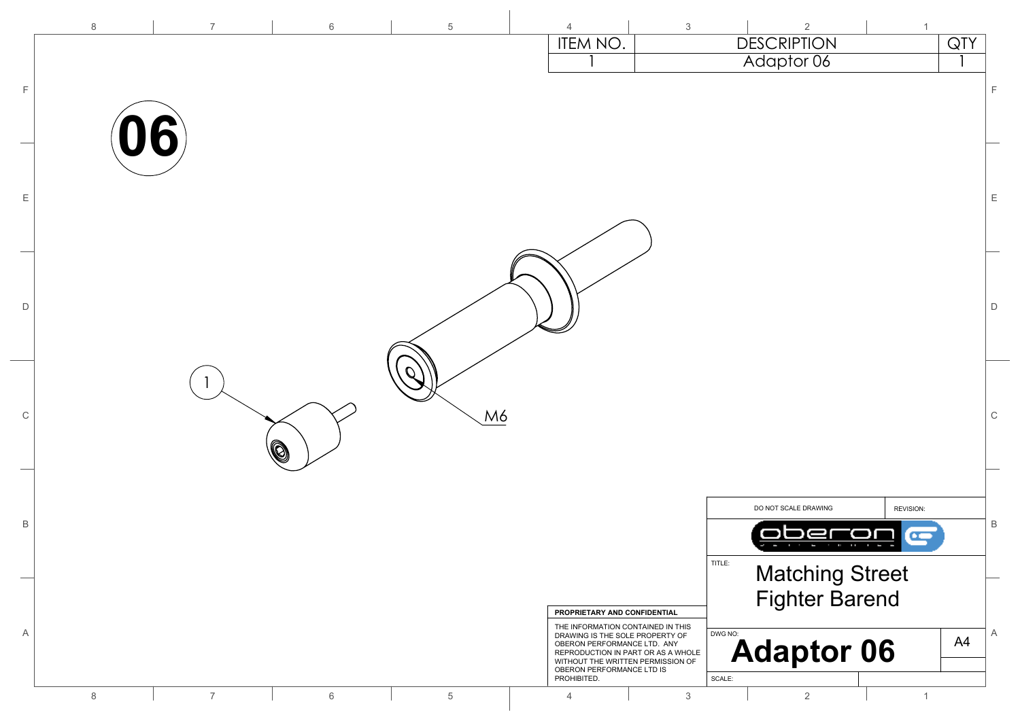|              | $\,8\,$ | $\overline{7}$ | $6\,$ | $\overline{5}$ | $\overline{4}$                                                                                         | $\mathfrak{Z}$ | $\overline{2}$                   | $\mathbf{1}$              |                  |              |
|--------------|---------|----------------|-------|----------------|--------------------------------------------------------------------------------------------------------|----------------|----------------------------------|---------------------------|------------------|--------------|
|              |         |                |       |                | <b>ITEM NO.</b>                                                                                        |                | <b>DESCRIPTION</b><br>Adaptor 06 |                           | $\overline{QTY}$ |              |
|              |         |                |       |                |                                                                                                        |                |                                  |                           |                  |              |
| F            |         |                |       |                |                                                                                                        |                |                                  |                           |                  | $\mathsf F$  |
|              |         |                |       |                |                                                                                                        |                |                                  |                           |                  |              |
|              | 06)     |                |       |                |                                                                                                        |                |                                  |                           |                  |              |
|              |         |                |       |                |                                                                                                        |                |                                  |                           |                  |              |
| $\mathsf E$  |         |                |       |                |                                                                                                        |                |                                  |                           |                  | $\mathsf E$  |
|              |         |                |       |                |                                                                                                        |                |                                  |                           |                  |              |
|              |         |                |       |                |                                                                                                        |                |                                  |                           |                  |              |
|              |         |                |       |                |                                                                                                        |                |                                  |                           |                  |              |
|              |         |                |       |                |                                                                                                        |                |                                  |                           |                  |              |
| D            |         |                |       |                |                                                                                                        |                |                                  |                           |                  | $\mathsf D$  |
|              |         |                |       |                |                                                                                                        |                |                                  |                           |                  |              |
|              |         |                |       |                |                                                                                                        |                |                                  |                           |                  |              |
|              |         |                |       |                |                                                                                                        |                |                                  |                           |                  |              |
| $\mathsf C$  |         |                |       | M6             |                                                                                                        |                |                                  |                           |                  | $\mathsf C$  |
|              |         |                | Q     |                |                                                                                                        |                |                                  |                           |                  |              |
|              |         |                |       |                |                                                                                                        |                |                                  |                           |                  |              |
|              |         |                |       |                |                                                                                                        |                |                                  |                           |                  |              |
|              |         |                |       |                |                                                                                                        |                | DO NOT SCALE DRAWING             | REVISION:                 |                  |              |
| $\, {\sf B}$ |         |                |       |                |                                                                                                        |                |                                  | $\bullet$<br>$\mathbf{u}$ |                  | $\, {\sf B}$ |
|              |         |                |       |                |                                                                                                        |                | TITLE:                           |                           |                  |              |
|              |         |                |       |                |                                                                                                        |                | <b>Matching Street</b>           |                           |                  |              |
|              |         |                |       |                | PROPRIETARY AND CONFIDENTIAL                                                                           |                | <b>Fighter Barend</b>            |                           |                  |              |
| Α            |         |                |       |                | THE INFORMATION CONTAINED IN THIS<br>DRAWING IS THE SOLE PROPERTY OF                                   |                | DWG NO:                          |                           | A4               | Α            |
|              |         |                |       |                | OBERON PERFORMANCE LTD. ANY<br>REPRODUCTION IN PART OR AS A WHOLE<br>WITHOUT THE WRITTEN PERMISSION OF |                | <b>Adaptor 06</b>                |                           |                  |              |
|              |         |                |       |                | OBERON PERFORMANCE LTD IS<br>PROHIBITED.                                                               |                | $\ensuremath{\mathsf{SCALE}}$ :  |                           |                  |              |
|              | $\,8\,$ | $\overline{7}$ | 6     | $\,$ 5 $\,$    | $\overline{4}$                                                                                         | $\mathfrak{Z}$ | $\overline{2}$                   | $\mathbf{1}$              |                  |              |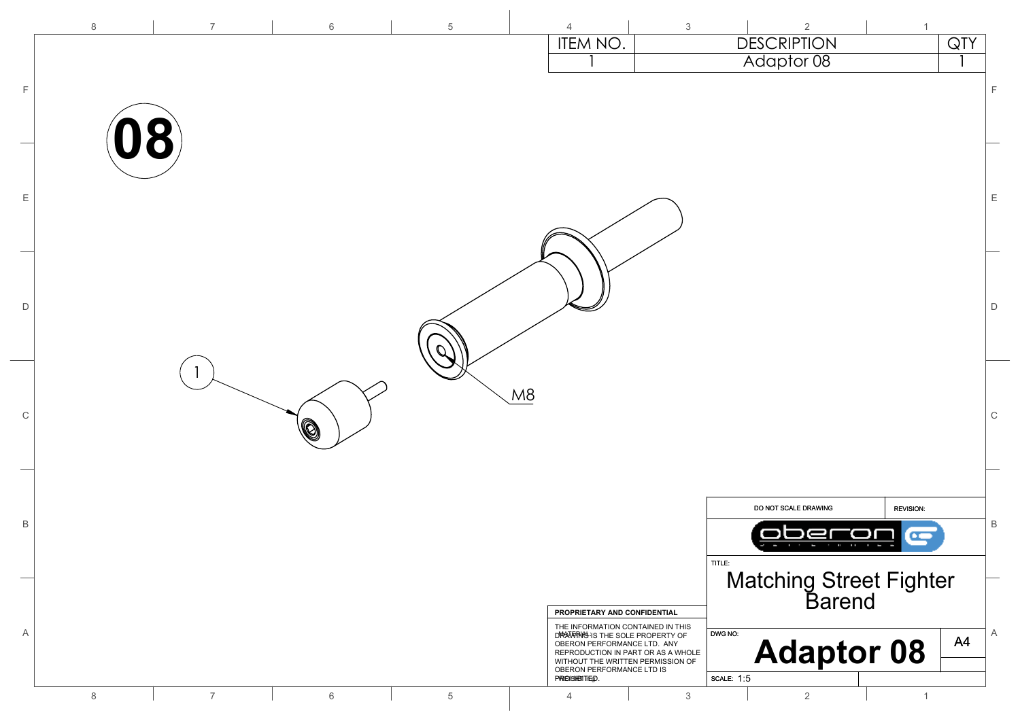| F           | $\,8\,$<br>18  | $\overline{7}$ | 6 | $\,$ 5 $\,$    | $\overline{4}$<br>ITEM NO. | $\mathfrak{S}$                                                                                                                                                                                                                              | $\overline{2}$<br><b>DESCRIPTION</b><br>Adaptor 08                          | $\mathbf{1}$                                                                                    | QTY<br>$\mathsf F$ |
|-------------|----------------|----------------|---|----------------|----------------------------|---------------------------------------------------------------------------------------------------------------------------------------------------------------------------------------------------------------------------------------------|-----------------------------------------------------------------------------|-------------------------------------------------------------------------------------------------|--------------------|
| Ε           |                |                |   |                |                            |                                                                                                                                                                                                                                             |                                                                             |                                                                                                 | $\mathsf E$        |
| D           |                |                |   |                |                            |                                                                                                                                                                                                                                             |                                                                             |                                                                                                 | $\mathsf D$        |
| $\mathbb C$ |                |                | Ò |                | M8                         |                                                                                                                                                                                                                                             |                                                                             |                                                                                                 | $\mathsf C$        |
| B           |                |                |   |                |                            |                                                                                                                                                                                                                                             | DO NOT SCALE DRAWING<br>ŀ                                                   | <b>REVISION:</b><br>$\mathbf{r}$<br>$\mathbf{u} \cdot \mathbf{u} = \mathbf{u} \cdot \mathbf{u}$ | $\mathsf B$        |
| Α           |                |                |   |                |                            | PROPRIETARY AND CONFIDENTIAL<br>THE INFORMATION CONTAINED IN THIS<br>DRAWING IS THE SOLE PROPERTY OF<br>OBERON PERFORMANCE LTD. ANY<br>REPRODUCTION IN PART OR AS A WHOLE<br>WITHOUT THE WRITTEN PERMISSION OF<br>OBERON PERFORMANCE LTD IS | TITLE:<br>Matching Street Fighter<br>Barend<br>DWG NO:<br><b>Adaptor 08</b> |                                                                                                 | A<br>A4            |
|             | $8\phantom{1}$ | $\overline{7}$ | 6 | $\overline{5}$ | PROBIBITED.<br>4           | $\mathfrak{Z}$                                                                                                                                                                                                                              | <b>SCALE: 1:5</b><br>$\overline{2}$                                         | $\mathbf{1}$                                                                                    |                    |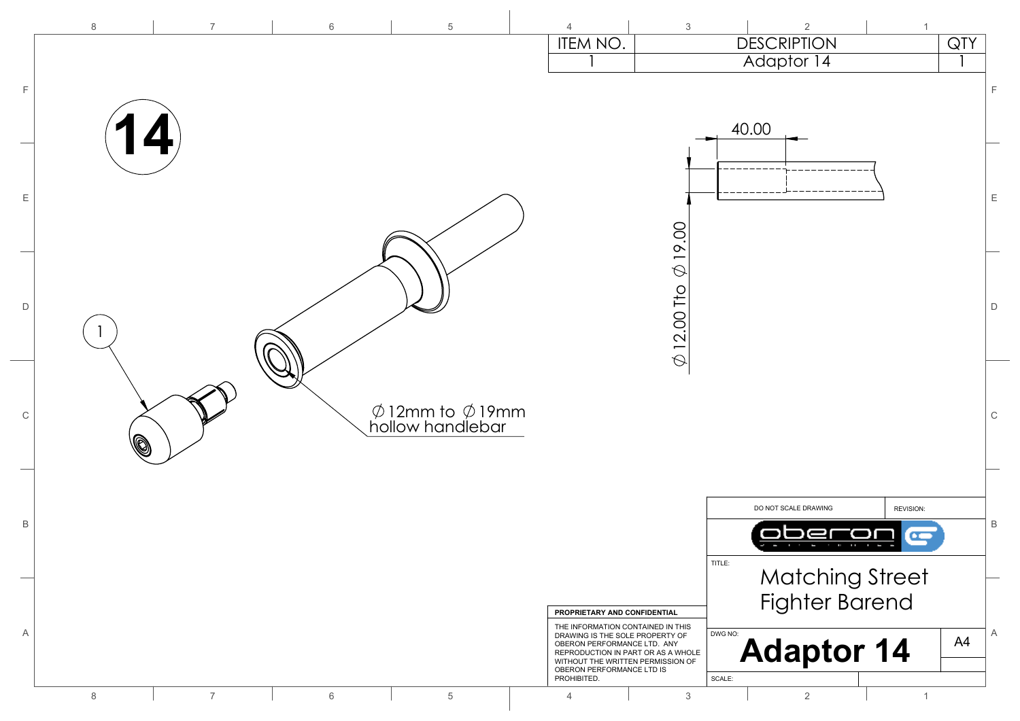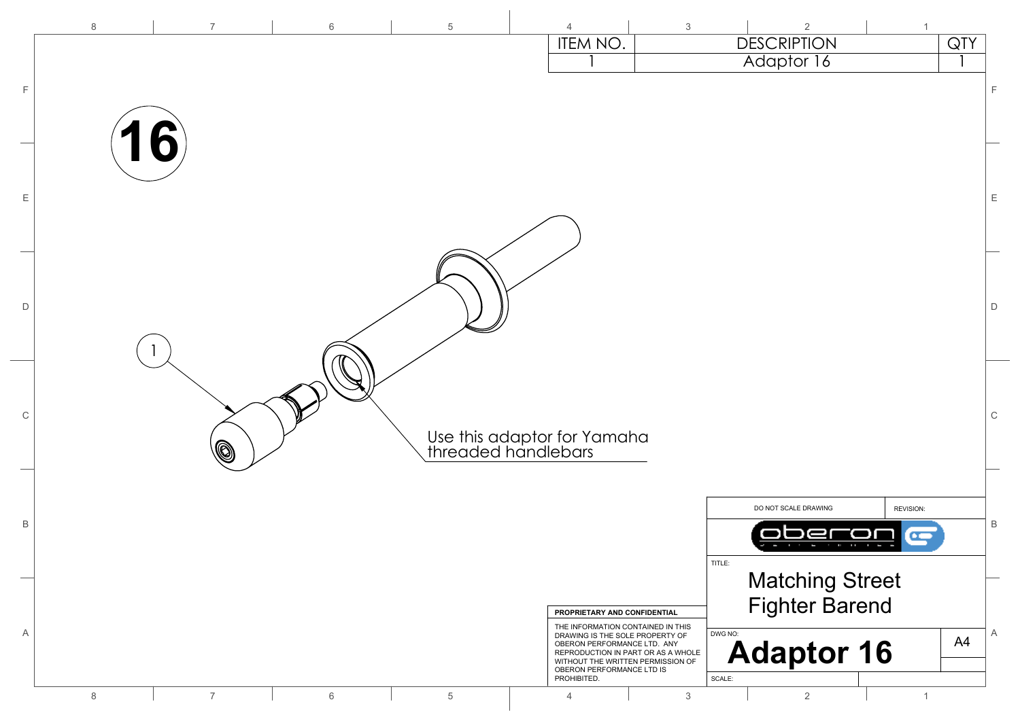|              | 8       | $\overline{7}$ | 6     | $\overline{5}$ | $\overline{4}$                                     | $\mathbf{3}$                                                                                         | 2                                | $\mathbf{1}$ |
|--------------|---------|----------------|-------|----------------|----------------------------------------------------|------------------------------------------------------------------------------------------------------|----------------------------------|--------------|
|              |         |                |       |                | ITEM NO.                                           |                                                                                                      | <b>DESCRIPTION</b><br>Adaptor 16 | QTY          |
| F            |         |                |       |                |                                                    |                                                                                                      |                                  | E            |
|              |         |                |       |                |                                                    |                                                                                                      |                                  |              |
|              | 16      |                |       |                |                                                    |                                                                                                      |                                  |              |
|              |         |                |       |                |                                                    |                                                                                                      |                                  |              |
| Ε            |         |                |       |                |                                                    |                                                                                                      |                                  | Ε            |
|              |         |                |       |                |                                                    |                                                                                                      |                                  |              |
|              |         |                |       |                |                                                    |                                                                                                      |                                  |              |
|              |         |                |       |                |                                                    |                                                                                                      |                                  |              |
| D            |         |                |       |                |                                                    |                                                                                                      |                                  | D            |
|              |         |                |       |                |                                                    |                                                                                                      |                                  |              |
|              |         |                |       |                |                                                    |                                                                                                      |                                  |              |
|              |         |                |       |                |                                                    |                                                                                                      |                                  |              |
| $\mathbb C$  |         |                |       |                |                                                    |                                                                                                      |                                  | $\mathsf C$  |
|              |         | Q              |       |                | Use this adaptor for Yamaha<br>threaded handlebars |                                                                                                      |                                  |              |
|              |         |                |       |                |                                                    |                                                                                                      |                                  |              |
|              |         |                |       |                |                                                    |                                                                                                      | DO NOT SCALE DRAWING             | REVISION:    |
| $\, {\sf B}$ |         |                |       |                |                                                    |                                                                                                      |                                  | B<br>œ       |
|              |         |                |       |                |                                                    |                                                                                                      | TITLE:                           |              |
|              |         |                |       |                |                                                    |                                                                                                      | <b>Matching Street</b>           |              |
|              |         |                |       |                |                                                    | PROPRIETARY AND CONFIDENTIAL<br>THE INFORMATION CONTAINED IN THIS                                    | <b>Fighter Barend</b>            |              |
| Α            |         |                |       |                |                                                    | DRAWING IS THE SOLE PROPERTY OF<br>OBERON PERFORMANCE LTD. ANY<br>REPRODUCTION IN PART OR AS A WHOLE | DWG NO:<br><b>Adaptor 16</b>     | A<br>A4      |
|              |         |                |       |                | PROHIBITED.                                        | WITHOUT THE WRITTEN PERMISSION OF<br>OBERON PERFORMANCE LTD IS                                       | SCALE:                           |              |
|              | $\,8\,$ | $\overline{7}$ | $6\,$ | $\,$ 5 $\,$    | 4                                                  | $\mathfrak{S}$                                                                                       | $\overline{2}$                   | $\mathbf{1}$ |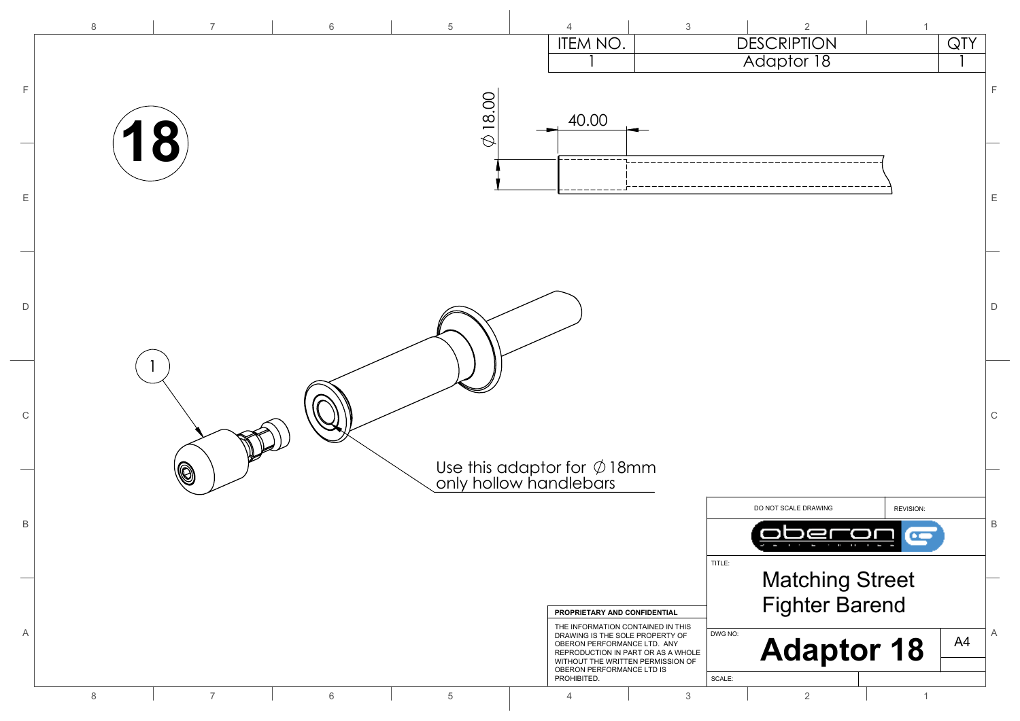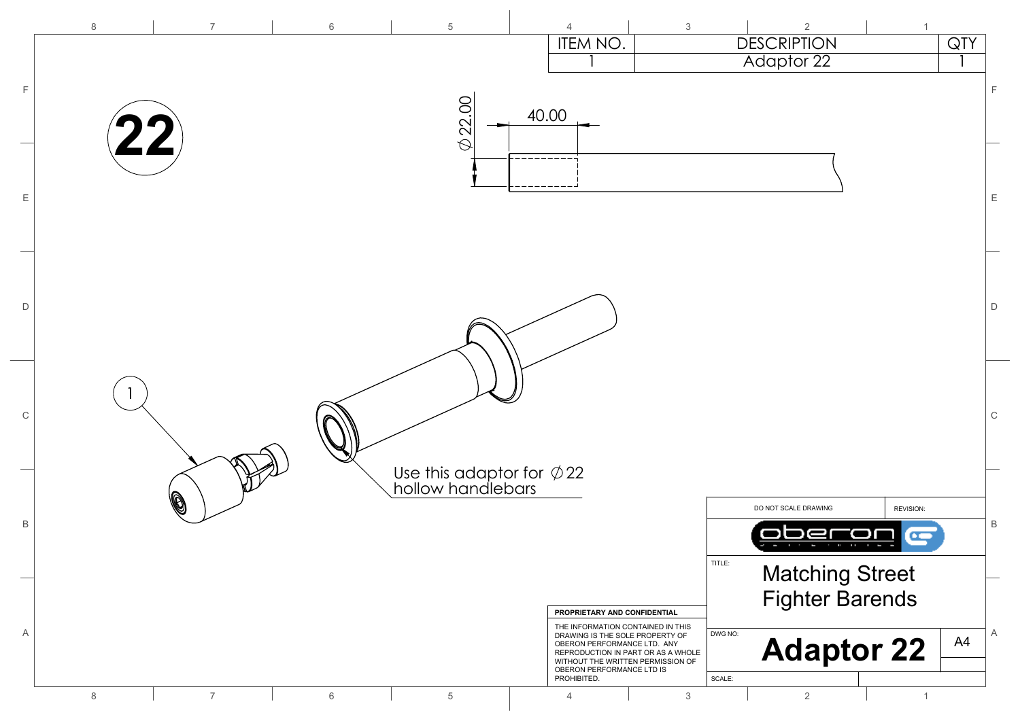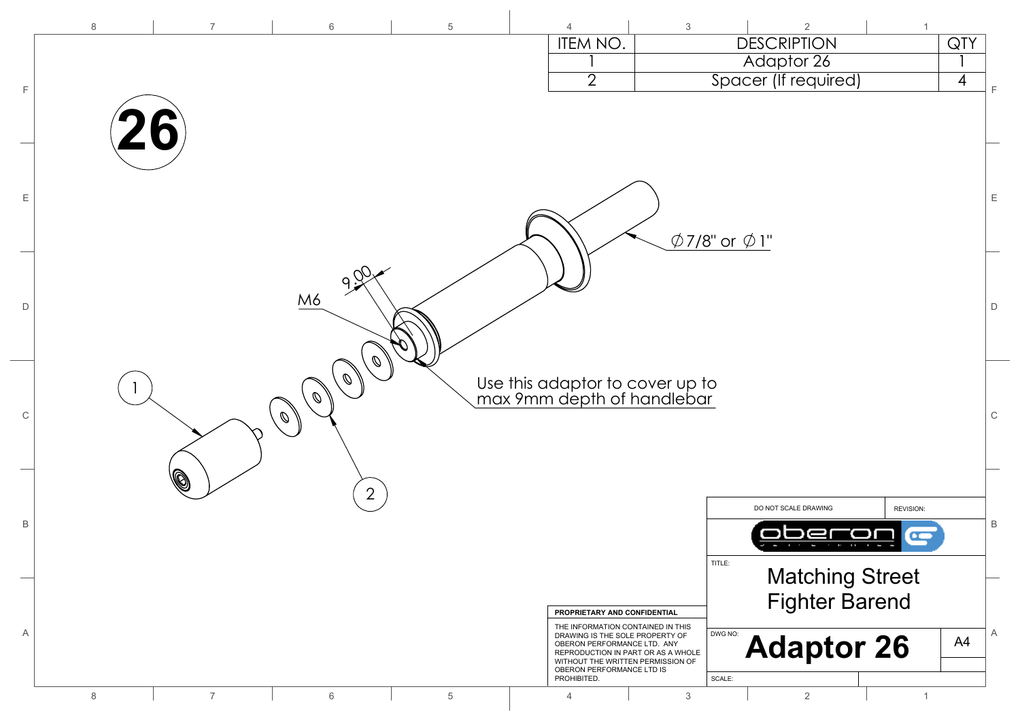|             | $\,8\,$ | $\overline{7}$ | $6\,$                   | $\overline{5}$ | $\overline{4}$                                                                                      | 3<br>$\overline{2}$                |                     |
|-------------|---------|----------------|-------------------------|----------------|-----------------------------------------------------------------------------------------------------|------------------------------------|---------------------|
|             |         |                |                         |                | ITEM NO.                                                                                            | <b>DESCRIPTION</b>                 | QTY                 |
|             |         |                |                         |                |                                                                                                     | Adaptor 26                         |                     |
| F           |         |                |                         |                | $\overline{2}$                                                                                      | Spacer (If required)               | $\overline{4}$<br>F |
|             |         |                |                         |                |                                                                                                     |                                    |                     |
|             |         | O              |                         |                |                                                                                                     |                                    |                     |
|             |         |                |                         |                |                                                                                                     |                                    |                     |
|             |         |                |                         |                |                                                                                                     |                                    |                     |
| Ε           |         |                |                         |                |                                                                                                     |                                    | $\mathsf E$         |
|             |         |                |                         |                |                                                                                                     |                                    |                     |
|             |         |                |                         |                |                                                                                                     | $\emptyset$ 7/8" or $\emptyset$ 1" |                     |
|             |         |                |                         |                |                                                                                                     |                                    |                     |
|             |         |                | $99\%$                  |                |                                                                                                     |                                    |                     |
| D           |         |                | M6                      |                |                                                                                                     |                                    | $\mathsf D$         |
|             |         |                |                         |                |                                                                                                     |                                    |                     |
|             |         |                |                         |                |                                                                                                     |                                    |                     |
|             |         |                | Ø                       |                |                                                                                                     |                                    |                     |
|             |         |                | $\mathcal{O}$           |                | Use this adaptor to cover up to<br>max 9mm depth of handlebar                                       |                                    |                     |
|             |         |                | $\mathcal{O}$           |                |                                                                                                     |                                    |                     |
| $\mathsf C$ |         |                | $\mathbb{Z}/\mathbb{Z}$ |                |                                                                                                     |                                    | $\mathsf C$         |
|             |         |                |                         |                |                                                                                                     |                                    |                     |
|             |         | ß              |                         |                |                                                                                                     |                                    |                     |
|             |         |                | 2                       |                |                                                                                                     |                                    |                     |
|             |         |                |                         |                |                                                                                                     | DO NOT SCALE DRAWING               | REVISION:           |
| В           |         |                |                         |                |                                                                                                     |                                    | $\, {\sf B}$<br>œ   |
|             |         |                |                         |                |                                                                                                     | TITLE:                             |                     |
|             |         |                |                         |                |                                                                                                     | <b>Matching Street</b>             |                     |
|             |         |                |                         |                |                                                                                                     | <b>Fighter Barend</b>              |                     |
|             |         |                |                         |                | PROPRIETARY AND CONFIDENTIAL                                                                        |                                    |                     |
| Α           |         |                |                         |                | THE INFORMATION CONTAINED IN THIS<br>DRAWING IS THE SOLE PROPERTY OF<br>OBERON PERFORMANCE LTD. ANY | DWG NO:                            | A<br>A4             |
|             |         |                |                         |                | REPRODUCTION IN PART OR AS A WHOLE<br>WITHOUT THE WRITTEN PERMISSION OF                             | <b>Adaptor 26</b>                  |                     |
|             |         |                |                         |                | OBERON PERFORMANCE LTD IS<br>PROHIBITED.                                                            | SCALE:                             |                     |
|             | 8       | $\overline{7}$ | 6                       | 5              | $\overline{4}$                                                                                      | 3<br>2                             |                     |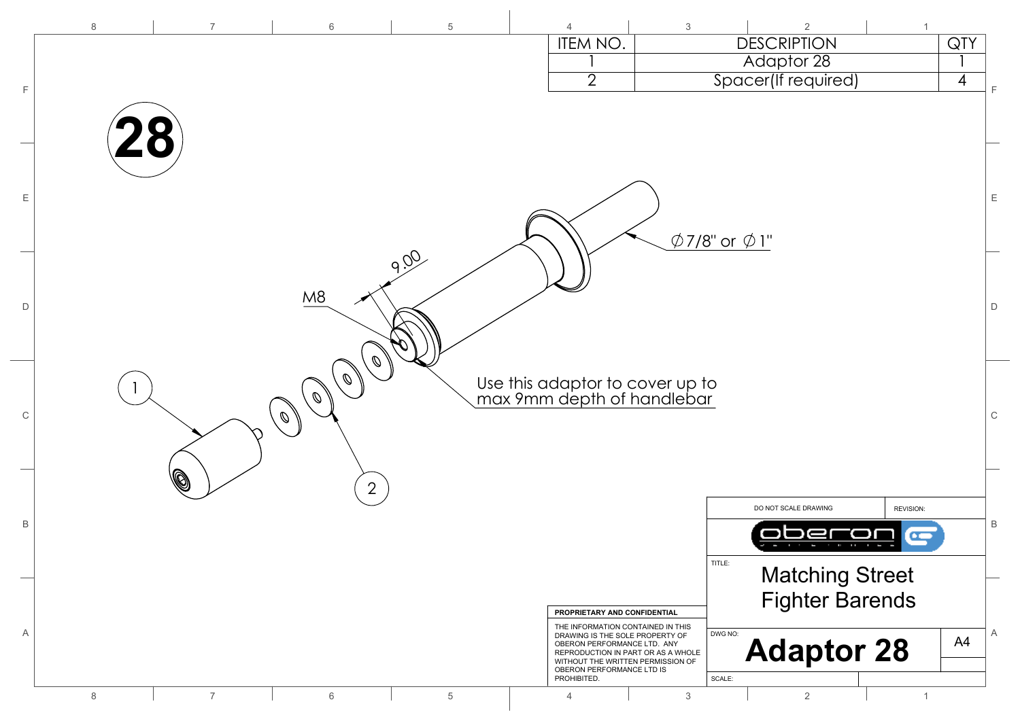|              | $\,8\,$ | $\overline{7}$ | $6\,$                          | $\,$ 5 $\,$ | 4                                                                 | $\mathbf{3}$                                                            | $\overline{2}$                     | $\overline{1}$ |                |
|--------------|---------|----------------|--------------------------------|-------------|-------------------------------------------------------------------|-------------------------------------------------------------------------|------------------------------------|----------------|----------------|
|              |         |                |                                |             | ITEM NO.                                                          |                                                                         | <b>DESCRIPTION</b>                 |                | QTY            |
|              |         |                |                                |             |                                                                   |                                                                         | Adaptor 28                         |                |                |
| E            |         |                |                                |             | $\overline{2}$                                                    |                                                                         | Spacer(If required)                |                | $\overline{4}$ |
|              |         |                |                                |             |                                                                   |                                                                         |                                    |                |                |
|              |         |                |                                |             |                                                                   |                                                                         |                                    |                |                |
|              |         |                |                                |             |                                                                   |                                                                         |                                    |                |                |
|              |         |                |                                |             |                                                                   |                                                                         |                                    |                |                |
| Ε            |         |                |                                |             |                                                                   |                                                                         |                                    |                | E              |
|              |         |                |                                |             |                                                                   |                                                                         |                                    |                |                |
|              |         |                |                                |             |                                                                   |                                                                         | $\emptyset$ 7/8" or $\emptyset$ 1" |                |                |
|              |         |                |                                | 900         |                                                                   |                                                                         |                                    |                |                |
|              |         |                |                                |             |                                                                   |                                                                         |                                    |                |                |
|              |         |                | M8                             |             |                                                                   |                                                                         |                                    |                |                |
| D            |         |                |                                |             |                                                                   |                                                                         |                                    |                | $\mathsf D$    |
|              |         |                |                                |             |                                                                   |                                                                         |                                    |                |                |
|              |         |                | $\mathcal{O}$                  |             |                                                                   |                                                                         |                                    |                |                |
|              |         |                | $\mathcal{Q}$                  |             |                                                                   |                                                                         |                                    |                |                |
|              |         |                | $\mathcal{Q}$                  |             |                                                                   | Use this adaptor to cover up to<br>max 9mm depth of handlebar           |                                    |                |                |
| $\mathsf C$  |         |                | $\mathbb{\ell} \, \mathscr{O}$ |             |                                                                   |                                                                         |                                    |                | $\mathsf C$    |
|              |         |                |                                |             |                                                                   |                                                                         |                                    |                |                |
|              |         |                |                                |             |                                                                   |                                                                         |                                    |                |                |
|              |         | (Q             | $\overline{2}$                 |             |                                                                   |                                                                         |                                    |                |                |
|              |         |                |                                |             |                                                                   |                                                                         | DO NOT SCALE DRAWING               | REVISION:      |                |
| $\, {\sf B}$ |         |                |                                |             |                                                                   |                                                                         |                                    | Œ              | B              |
|              |         |                |                                |             |                                                                   |                                                                         |                                    |                |                |
|              |         |                |                                |             |                                                                   |                                                                         | TITLE:<br><b>Matching Street</b>   |                |                |
|              |         |                |                                |             |                                                                   |                                                                         | <b>Fighter Barends</b>             |                |                |
|              |         |                |                                |             | PROPRIETARY AND CONFIDENTIAL<br>THE INFORMATION CONTAINED IN THIS |                                                                         |                                    |                |                |
| Α            |         |                |                                |             | DRAWING IS THE SOLE PROPERTY OF<br>OBERON PERFORMANCE LTD. ANY    |                                                                         | DWG NO:                            |                | A<br>A4        |
|              |         |                |                                |             |                                                                   | REPRODUCTION IN PART OR AS A WHOLE<br>WITHOUT THE WRITTEN PERMISSION OF | <b>Adaptor 28</b>                  |                |                |
|              |         |                |                                |             | OBERON PERFORMANCE LTD IS<br>PROHIBITED.                          |                                                                         | SCALE:                             |                |                |
|              | 8       | $\overline{7}$ | 6                              | 5           | $\overline{4}$                                                    | 3                                                                       | $\overline{2}$                     | $\mathbf{1}$   |                |